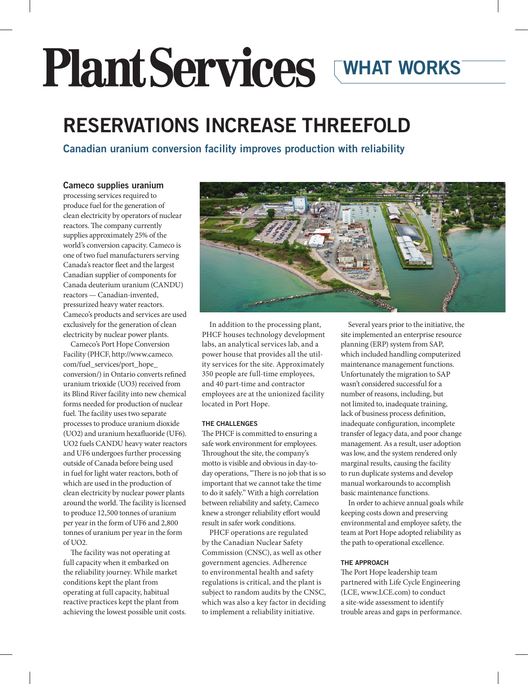# Plant Services WHAT WORKS

## RESERVATIONS INCREASE THREEFOLD

Canadian uranium conversion facility improves production with reliability

#### Cameco supplies uranium

processing services required to produce fuel for the generation of clean electricity by operators of nuclear reactors. The company currently supplies approximately 25% of the world's conversion capacity. Cameco is one of two fuel manufacturers serving Canada's reactor fleet and the largest Canadian supplier of components for Canada deuterium uranium (CANDU) reactors — Canadian-invented, pressurized heavy water reactors. Cameco's products and services are used exclusively for the generation of clean electricity by nuclear power plants.

Cameco's Port Hope Conversion Facility (PHCF, http://www.cameco. com/fuel\_services/port\_hope\_ conversion/) in Ontario converts refined uranium trioxide (UO3) received from its Blind River facility into new chemical forms needed for production of nuclear fuel. The facility uses two separate processes to produce uranium dioxide (UO2) and uranium hexafluoride (UF6). UO2 fuels CANDU heavy water reactors and UF6 undergoes further processing outside of Canada before being used in fuel for light water reactors, both of which are used in the production of clean electricity by nuclear power plants around the world. The facility is licensed to produce 12,500 tonnes of uranium per year in the form of UF6 and 2,800 tonnes of uranium per year in the form of UO2.

The facility was not operating at full capacity when it embarked on the reliability journey. While market conditions kept the plant from operating at full capacity, habitual reactive practices kept the plant from achieving the lowest possible unit costs.



In addition to the processing plant, PHCF houses technology development labs, an analytical services lab, and a power house that provides all the utility services for the site. Approximately 350 people are full-time employees, and 40 part-time and contractor employees are at the unionized facility located in Port Hope.

#### THE CHALLENGES

The PHCF is committed to ensuring a safe work environment for employees. Throughout the site, the company's motto is visible and obvious in day-today operations, "There is no job that is so important that we cannot take the time to do it safely." With a high correlation between reliability and safety, Cameco knew a stronger reliability effort would result in safer work conditions.

PHCF operations are regulated by the Canadian Nuclear Safety Commission (CNSC), as well as other government agencies. Adherence to environmental health and safety regulations is critical, and the plant is subject to random audits by the CNSC, which was also a key factor in deciding to implement a reliability initiative.

Several years prior to the initiative, the site implemented an enterprise resource planning (ERP) system from SAP, which included handling computerized maintenance management functions. Unfortunately the migration to SAP wasn't considered successful for a number of reasons, including, but not limited to, inadequate training, lack of business process definition, inadequate configuration, incomplete transfer of legacy data, and poor change management. As a result, user adoption was low, and the system rendered only marginal results, causing the facility to run duplicate systems and develop manual workarounds to accomplish basic maintenance functions.

In order to achieve annual goals while keeping costs down and preserving environmental and employee safety, the team at Port Hope adopted reliability as the path to operational excellence.

#### THE APPROACH

The Port Hope leadership team partnered with Life Cycle Engineering (LCE, www.LCE.com) to conduct a site-wide assessment to identify trouble areas and gaps in performance.